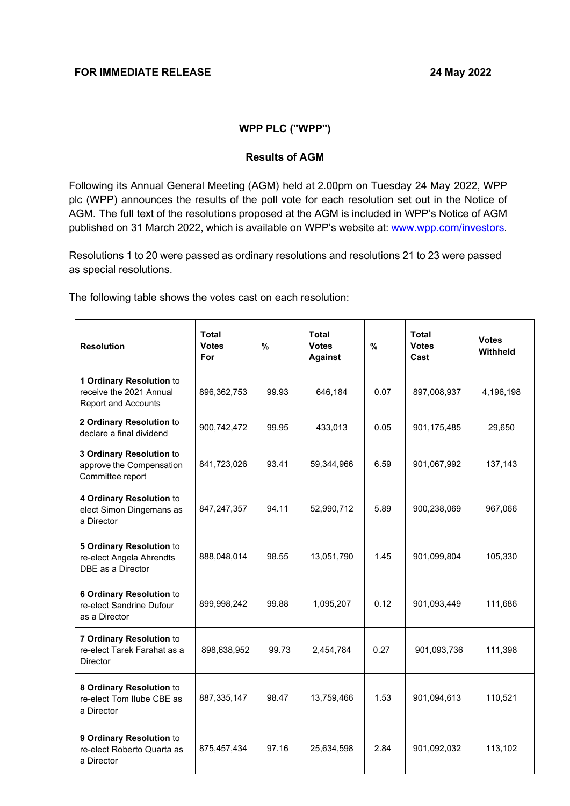# **WPP PLC ("WPP")**

#### **Results of AGM**

Following its Annual General Meeting (AGM) held at 2.00pm on Tuesday 24 May 2022, WPP plc (WPP) announces the results of the poll vote for each resolution set out in the Notice of AGM. The full text of the resolutions proposed at the AGM is included in WPP's Notice of AGM published on 31 March 2022, which is available on WPP's website at: [www.wpp.com/investors.](http://www.wpp.com/investors)

Resolutions 1 to 20 were passed as ordinary resolutions and resolutions 21 to 23 were passed as special resolutions.

The following table shows the votes cast on each resolution:

| <b>Resolution</b>                                                                 | <b>Total</b><br><b>Votes</b><br>For | $\frac{9}{6}$ | <b>Total</b><br><b>Votes</b><br><b>Against</b> | %    | <b>Total</b><br><b>Votes</b><br>Cast | <b>Votes</b><br>Withheld |
|-----------------------------------------------------------------------------------|-------------------------------------|---------------|------------------------------------------------|------|--------------------------------------|--------------------------|
| 1 Ordinary Resolution to<br>receive the 2021 Annual<br><b>Report and Accounts</b> | 896,362,753                         | 99.93         | 646,184                                        | 0.07 | 897,008,937                          | 4,196,198                |
| 2 Ordinary Resolution to<br>declare a final dividend                              | 900,742,472                         | 99.95         | 433,013                                        | 0.05 | 901,175,485                          | 29,650                   |
| 3 Ordinary Resolution to<br>approve the Compensation<br>Committee report          | 841,723,026                         | 93.41         | 59,344,966                                     | 6.59 | 901,067,992                          | 137,143                  |
| 4 Ordinary Resolution to<br>elect Simon Dingemans as<br>a Director                | 847,247,357                         | 94.11         | 52,990,712                                     | 5.89 | 900,238,069                          | 967,066                  |
| 5 Ordinary Resolution to<br>re-elect Angela Ahrendts<br>DBE as a Director         | 888,048,014                         | 98.55         | 13,051,790                                     | 1.45 | 901,099,804                          | 105,330                  |
| 6 Ordinary Resolution to<br>re-elect Sandrine Dufour<br>as a Director             | 899,998,242                         | 99.88         | 1,095,207                                      | 0.12 | 901,093,449                          | 111,686                  |
| 7 Ordinary Resolution to<br>re-elect Tarek Farahat as a<br><b>Director</b>        | 898,638,952                         | 99.73         | 2,454,784                                      | 0.27 | 901,093,736                          | 111,398                  |
| 8 Ordinary Resolution to<br>re-elect Tom Ilube CBE as<br>a Director               | 887,335,147                         | 98.47         | 13,759,466                                     | 1.53 | 901,094,613                          | 110,521                  |
| 9 Ordinary Resolution to<br>re-elect Roberto Quarta as<br>a Director              | 875,457,434                         | 97.16         | 25,634,598                                     | 2.84 | 901,092,032                          | 113,102                  |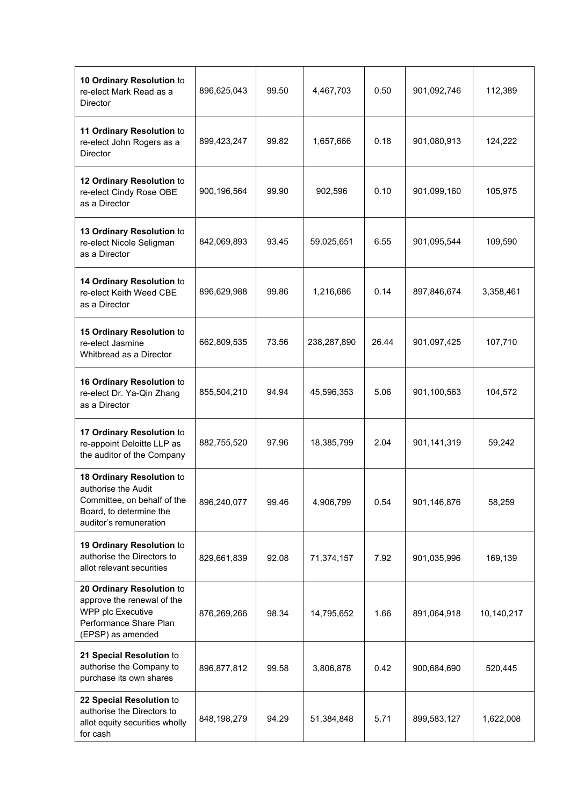| 10 Ordinary Resolution to<br>re-elect Mark Read as a<br><b>Director</b>                                                              | 896,625,043 | 99.50 | 4,467,703   | 0.50  | 901,092,746 | 112,389    |
|--------------------------------------------------------------------------------------------------------------------------------------|-------------|-------|-------------|-------|-------------|------------|
| 11 Ordinary Resolution to<br>re-elect John Rogers as a<br>Director                                                                   | 899,423,247 | 99.82 | 1,657,666   | 0.18  | 901,080,913 | 124,222    |
| 12 Ordinary Resolution to<br>re-elect Cindy Rose OBE<br>as a Director                                                                | 900,196,564 | 99.90 | 902,596     | 0.10  | 901,099,160 | 105,975    |
| 13 Ordinary Resolution to<br>re-elect Nicole Seligman<br>as a Director                                                               | 842,069,893 | 93.45 | 59,025,651  | 6.55  | 901,095,544 | 109,590    |
| 14 Ordinary Resolution to<br>re-elect Keith Weed CBE<br>as a Director                                                                | 896,629,988 | 99.86 | 1,216,686   | 0.14  | 897,846,674 | 3,358,461  |
| 15 Ordinary Resolution to<br>re-elect Jasmine<br>Whitbread as a Director                                                             | 662,809,535 | 73.56 | 238,287,890 | 26.44 | 901,097,425 | 107,710    |
| 16 Ordinary Resolution to<br>re-elect Dr. Ya-Qin Zhang<br>as a Director                                                              | 855,504,210 | 94.94 | 45,596,353  | 5.06  | 901,100,563 | 104,572    |
| 17 Ordinary Resolution to<br>re-appoint Deloitte LLP as<br>the auditor of the Company                                                | 882,755,520 | 97.96 | 18,385,799  | 2.04  | 901,141,319 | 59,242     |
| 18 Ordinary Resolution to<br>authorise the Audit<br>Committee, on behalf of the<br>Board, to determine the<br>auditor's remuneration | 896,240,077 | 99.46 | 4,906,799   | 0.54  | 901,146,876 | 58,259     |
| 19 Ordinary Resolution to<br>authorise the Directors to<br>allot relevant securities                                                 | 829,661,839 | 92.08 | 71,374,157  | 7.92  | 901,035,996 | 169,139    |
| 20 Ordinary Resolution to<br>approve the renewal of the<br>WPP plc Executive<br>Performance Share Plan<br>(EPSP) as amended          | 876,269,266 | 98.34 | 14,795,652  | 1.66  | 891,064,918 | 10,140,217 |
| 21 Special Resolution to<br>authorise the Company to<br>purchase its own shares                                                      | 896,877,812 | 99.58 | 3,806,878   | 0.42  | 900,684,690 | 520,445    |
| 22 Special Resolution to<br>authorise the Directors to<br>allot equity securities wholly<br>for cash                                 | 848,198,279 | 94.29 | 51,384,848  | 5.71  | 899,583,127 | 1,622,008  |